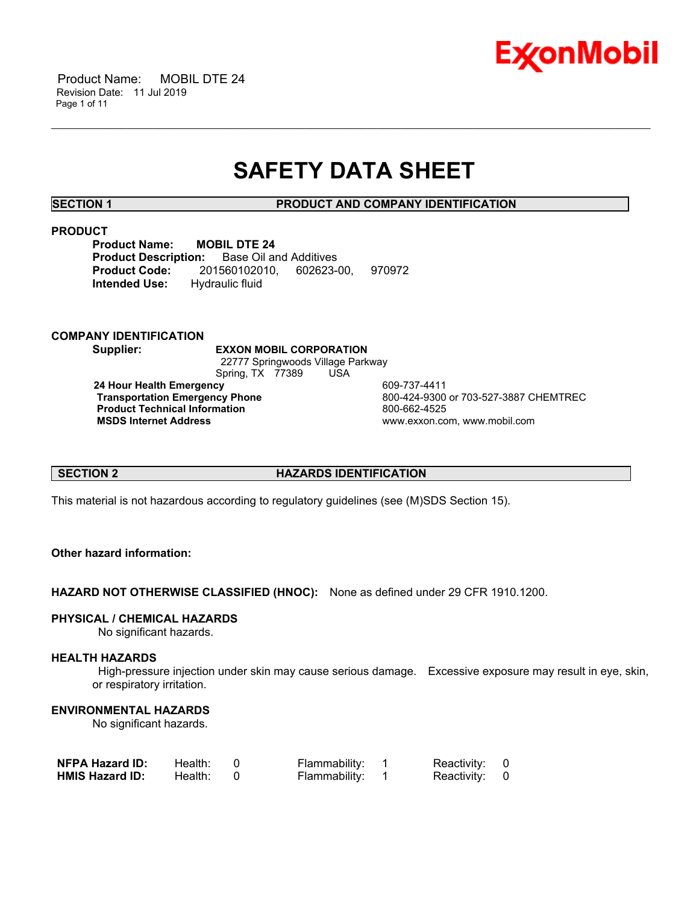

 Product Name: MOBIL DTE 24 Revision Date: 11 Jul 2019 Page 1 of 11

# **SAFETY DATA SHEET**

\_\_\_\_\_\_\_\_\_\_\_\_\_\_\_\_\_\_\_\_\_\_\_\_\_\_\_\_\_\_\_\_\_\_\_\_\_\_\_\_\_\_\_\_\_\_\_\_\_\_\_\_\_\_\_\_\_\_\_\_\_\_\_\_\_\_\_\_\_\_\_\_\_\_\_\_\_\_\_\_\_\_\_\_\_\_\_\_\_\_\_\_\_\_\_\_\_\_\_\_\_\_\_\_\_\_\_\_\_\_\_\_\_\_\_\_\_\_

**SECTION 1 PRODUCT AND COMPANY IDENTIFICATION**

#### **PRODUCT**

**Product Name: MOBIL DTE 24 Product Description:** Base Oil and Additives **Product Code:** 201560102010, 602623-00, 970972 **Intended Use:** Hydraulic fluid

# **COMPANY IDENTIFICATION**

**Supplier: EXXON MOBIL CORPORATION** 22777 Springwoods Village Parkway Spring, TX 77389 USA **24 Hour Health Emergency** 609-737-4411 **Transportation Emergency Phone** 800-424-9300 or 703-527-3887 CHEMTREC **Product Technical Information**<br> **MSDS Internet Address**<br> **MSDS Internet Address** 

 **MSDS Internet Address** www.exxon.com, www.mobil.com

# **SECTION 2 HAZARDS IDENTIFICATION**

This material is not hazardous according to regulatory guidelines (see (M)SDS Section 15).

# **Other hazard information:**

**HAZARD NOT OTHERWISE CLASSIFIED (HNOC):** None as defined under 29 CFR 1910.1200.

#### **PHYSICAL / CHEMICAL HAZARDS**

No significant hazards.

# **HEALTH HAZARDS**

 High-pressure injection under skin may cause serious damage. Excessive exposure may result in eye, skin, or respiratory irritation.

# **ENVIRONMENTAL HAZARDS**

No significant hazards.

| <b>NFPA Hazard ID:</b> | Health: | Flammability: | Reactivity: 0 |  |
|------------------------|---------|---------------|---------------|--|
| <b>HMIS Hazard ID:</b> | Health: | Flammability: | Reactivity: 0 |  |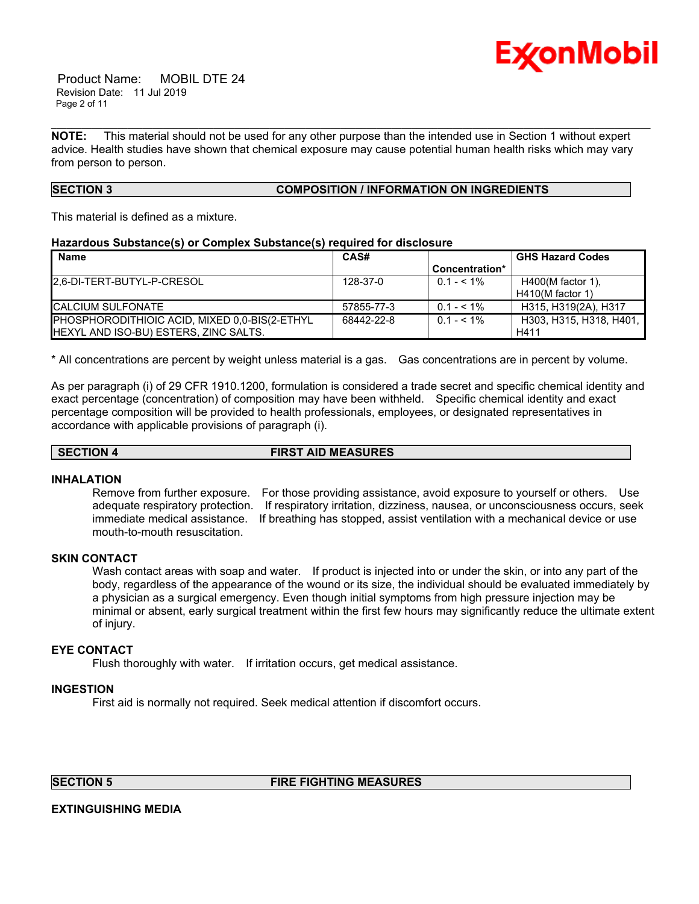

 Product Name: MOBIL DTE 24 Revision Date: 11 Jul 2019 Page 2 of 11

**NOTE:** This material should not be used for any other purpose than the intended use in Section 1 without expert advice. Health studies have shown that chemical exposure may cause potential human health risks which may vary from person to person.

\_\_\_\_\_\_\_\_\_\_\_\_\_\_\_\_\_\_\_\_\_\_\_\_\_\_\_\_\_\_\_\_\_\_\_\_\_\_\_\_\_\_\_\_\_\_\_\_\_\_\_\_\_\_\_\_\_\_\_\_\_\_\_\_\_\_\_\_\_\_\_\_\_\_\_\_\_\_\_\_\_\_\_\_\_\_\_\_\_\_\_\_\_\_\_\_\_\_\_\_\_\_\_\_\_\_\_\_\_\_\_\_\_\_\_\_\_\_

# **SECTION 3 COMPOSITION / INFORMATION ON INGREDIENTS**

This material is defined as a mixture.

#### **Hazardous Substance(s) or Complex Substance(s) required for disclosure**

| <b>Name</b>                                   | CAS#       |                | <b>GHS Hazard Codes</b> |
|-----------------------------------------------|------------|----------------|-------------------------|
|                                               |            | Concentration* |                         |
| <b>I2.6-DI-TERT-BUTYL-P-CRESOL</b>            | 128-37-0   | $0.1 - 5.1\%$  | $H400(M$ factor 1).     |
|                                               |            |                | $H410(M$ factor 1)      |
| <b>ICALCIUM SULFONATE</b>                     | 57855-77-3 | $0.1 - 5.1\%$  | H315, H319(2A), H317    |
| PHOSPHORODITHIOIC ACID, MIXED 0.0-BIS(2-ETHYL | 68442-22-8 | $0.1 - 5.1\%$  | H303. H315. H318. H401. |
| HEXYL AND ISO-BU) ESTERS, ZINC SALTS.         |            |                | H411                    |

\* All concentrations are percent by weight unless material is a gas. Gas concentrations are in percent by volume.

As per paragraph (i) of 29 CFR 1910.1200, formulation is considered a trade secret and specific chemical identity and exact percentage (concentration) of composition may have been withheld. Specific chemical identity and exact percentage composition will be provided to health professionals, employees, or designated representatives in accordance with applicable provisions of paragraph (i).

**SECTION 4 FIRST AID MEASURES**

# **INHALATION**

Remove from further exposure. For those providing assistance, avoid exposure to yourself or others. Use adequate respiratory protection. If respiratory irritation, dizziness, nausea, or unconsciousness occurs, seek immediate medical assistance. If breathing has stopped, assist ventilation with a mechanical device or use mouth-to-mouth resuscitation.

# **SKIN CONTACT**

Wash contact areas with soap and water. If product is injected into or under the skin, or into any part of the body, regardless of the appearance of the wound or its size, the individual should be evaluated immediately by a physician as a surgical emergency. Even though initial symptoms from high pressure injection may be minimal or absent, early surgical treatment within the first few hours may significantly reduce the ultimate extent of injury.

# **EYE CONTACT**

Flush thoroughly with water. If irritation occurs, get medical assistance.

# **INGESTION**

First aid is normally not required. Seek medical attention if discomfort occurs.

**SECTION 5 FIRE FIGHTING MEASURES** 

**EXTINGUISHING MEDIA**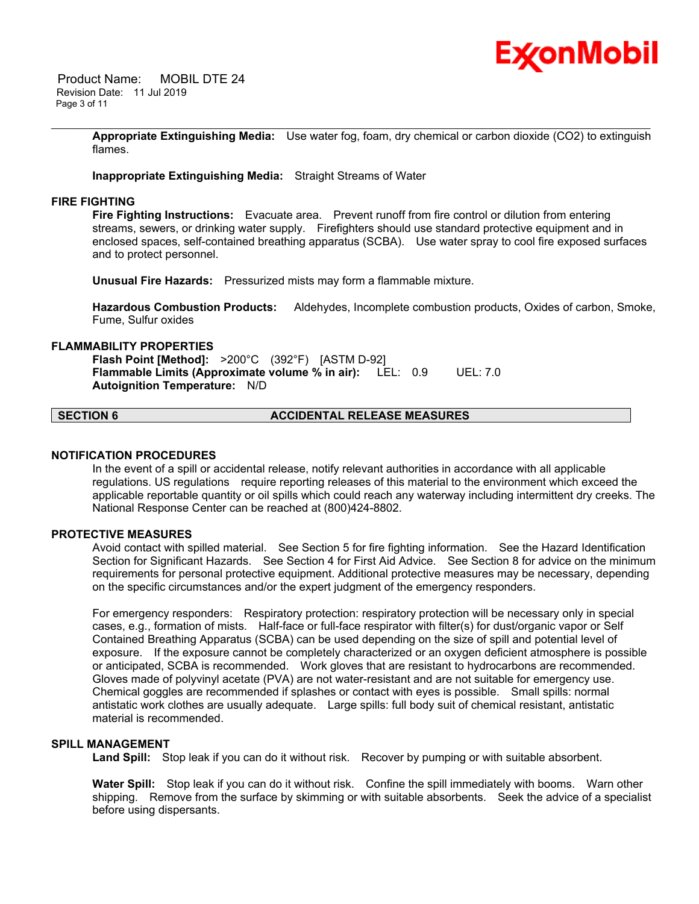

 Product Name: MOBIL DTE 24 Revision Date: 11 Jul 2019 Page 3 of 11

> **Appropriate Extinguishing Media:** Use water fog, foam, dry chemical or carbon dioxide (CO2) to extinguish flames.

\_\_\_\_\_\_\_\_\_\_\_\_\_\_\_\_\_\_\_\_\_\_\_\_\_\_\_\_\_\_\_\_\_\_\_\_\_\_\_\_\_\_\_\_\_\_\_\_\_\_\_\_\_\_\_\_\_\_\_\_\_\_\_\_\_\_\_\_\_\_\_\_\_\_\_\_\_\_\_\_\_\_\_\_\_\_\_\_\_\_\_\_\_\_\_\_\_\_\_\_\_\_\_\_\_\_\_\_\_\_\_\_\_\_\_\_\_\_

**Inappropriate Extinguishing Media:** Straight Streams of Water

#### **FIRE FIGHTING**

**Fire Fighting Instructions:** Evacuate area. Prevent runoff from fire control or dilution from entering streams, sewers, or drinking water supply. Firefighters should use standard protective equipment and in enclosed spaces, self-contained breathing apparatus (SCBA). Use water spray to cool fire exposed surfaces and to protect personnel.

**Unusual Fire Hazards:** Pressurized mists may form a flammable mixture.

**Hazardous Combustion Products:** Aldehydes, Incomplete combustion products, Oxides of carbon, Smoke, Fume, Sulfur oxides

#### **FLAMMABILITY PROPERTIES**

**Flash Point [Method]:** >200°C (392°F) [ASTM D-92] **Flammable Limits (Approximate volume % in air):** LEL: 0.9 UEL: 7.0 **Autoignition Temperature:** N/D

# **SECTION 6 ACCIDENTAL RELEASE MEASURES**

#### **NOTIFICATION PROCEDURES**

In the event of a spill or accidental release, notify relevant authorities in accordance with all applicable regulations. US regulations require reporting releases of this material to the environment which exceed the applicable reportable quantity or oil spills which could reach any waterway including intermittent dry creeks. The National Response Center can be reached at (800)424-8802.

# **PROTECTIVE MEASURES**

Avoid contact with spilled material. See Section 5 for fire fighting information. See the Hazard Identification Section for Significant Hazards. See Section 4 for First Aid Advice. See Section 8 for advice on the minimum requirements for personal protective equipment. Additional protective measures may be necessary, depending on the specific circumstances and/or the expert judgment of the emergency responders.

For emergency responders: Respiratory protection: respiratory protection will be necessary only in special cases, e.g., formation of mists. Half-face or full-face respirator with filter(s) for dust/organic vapor or Self Contained Breathing Apparatus (SCBA) can be used depending on the size of spill and potential level of exposure. If the exposure cannot be completely characterized or an oxygen deficient atmosphere is possible or anticipated, SCBA is recommended. Work gloves that are resistant to hydrocarbons are recommended. Gloves made of polyvinyl acetate (PVA) are not water-resistant and are not suitable for emergency use. Chemical goggles are recommended if splashes or contact with eyes is possible. Small spills: normal antistatic work clothes are usually adequate. Large spills: full body suit of chemical resistant, antistatic material is recommended.

#### **SPILL MANAGEMENT**

Land Spill: Stop leak if you can do it without risk. Recover by pumping or with suitable absorbent.

**Water Spill:** Stop leak if you can do it without risk. Confine the spill immediately with booms. Warn other shipping. Remove from the surface by skimming or with suitable absorbents. Seek the advice of a specialist before using dispersants.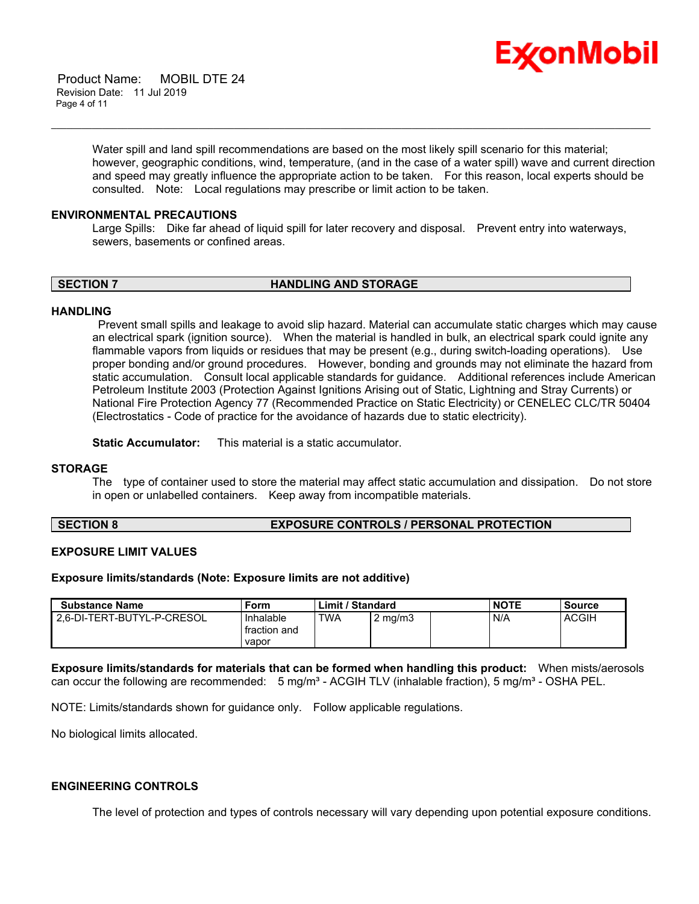

 Product Name: MOBIL DTE 24 Revision Date: 11 Jul 2019 Page 4 of 11

> Water spill and land spill recommendations are based on the most likely spill scenario for this material; however, geographic conditions, wind, temperature, (and in the case of a water spill) wave and current direction and speed may greatly influence the appropriate action to be taken. For this reason, local experts should be consulted. Note: Local regulations may prescribe or limit action to be taken.

#### **ENVIRONMENTAL PRECAUTIONS**

Large Spills: Dike far ahead of liquid spill for later recovery and disposal. Prevent entry into waterways, sewers, basements or confined areas.

\_\_\_\_\_\_\_\_\_\_\_\_\_\_\_\_\_\_\_\_\_\_\_\_\_\_\_\_\_\_\_\_\_\_\_\_\_\_\_\_\_\_\_\_\_\_\_\_\_\_\_\_\_\_\_\_\_\_\_\_\_\_\_\_\_\_\_\_\_\_\_\_\_\_\_\_\_\_\_\_\_\_\_\_\_\_\_\_\_\_\_\_\_\_\_\_\_\_\_\_\_\_\_\_\_\_\_\_\_\_\_\_\_\_\_\_\_\_

**SECTION 7 HANDLING AND STORAGE** 

#### **HANDLING**

 Prevent small spills and leakage to avoid slip hazard. Material can accumulate static charges which may cause an electrical spark (ignition source). When the material is handled in bulk, an electrical spark could ignite any flammable vapors from liquids or residues that may be present (e.g., during switch-loading operations). Use proper bonding and/or ground procedures. However, bonding and grounds may not eliminate the hazard from static accumulation. Consult local applicable standards for guidance. Additional references include American Petroleum Institute 2003 (Protection Against Ignitions Arising out of Static, Lightning and Stray Currents) or National Fire Protection Agency 77 (Recommended Practice on Static Electricity) or CENELEC CLC/TR 50404 (Electrostatics - Code of practice for the avoidance of hazards due to static electricity).

**Static Accumulator:** This material is a static accumulator.

#### **STORAGE**

The type of container used to store the material may affect static accumulation and dissipation. Do not store in open or unlabelled containers. Keep away from incompatible materials.

#### **SECTION 8 EXPOSURE CONTROLS / PERSONAL PROTECTION**

#### **EXPOSURE LIMIT VALUES**

#### **Exposure limits/standards (Note: Exposure limits are not additive)**

| <b>Substance Name</b>      | Form                      | Limit / Standard |                  | <b>NOTE</b> | <b>Source</b> |
|----------------------------|---------------------------|------------------|------------------|-------------|---------------|
| 2.6-DI-TERT-BUTYL-P-CRESOL | Inhalable<br>fraction and | <b>TWA</b>       | $2 \text{ mg/m}$ | N/A         | <b>ACGIH</b>  |
|                            | vapor                     |                  |                  |             |               |

**Exposure limits/standards for materials that can be formed when handling this product:** When mists/aerosols can occur the following are recommended:  $5 \text{ mg/m}^3$  - ACGIH TLV (inhalable fraction),  $5 \text{ mg/m}^3$  - OSHA PEL.

NOTE: Limits/standards shown for guidance only. Follow applicable regulations.

No biological limits allocated.

#### **ENGINEERING CONTROLS**

The level of protection and types of controls necessary will vary depending upon potential exposure conditions.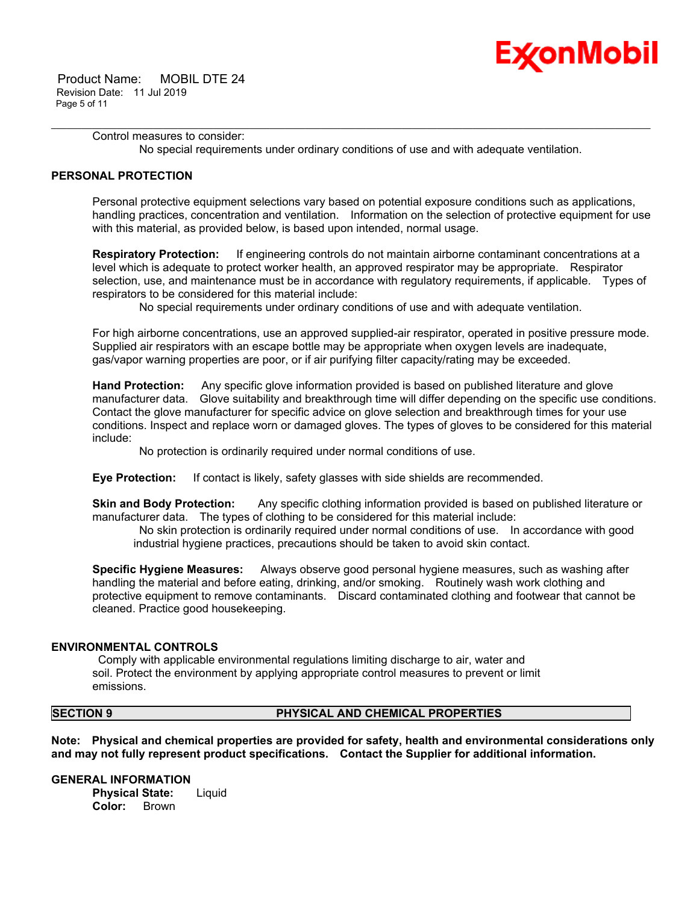

 Product Name: MOBIL DTE 24 Revision Date: 11 Jul 2019 Page 5 of 11

> Control measures to consider: No special requirements under ordinary conditions of use and with adequate ventilation.

\_\_\_\_\_\_\_\_\_\_\_\_\_\_\_\_\_\_\_\_\_\_\_\_\_\_\_\_\_\_\_\_\_\_\_\_\_\_\_\_\_\_\_\_\_\_\_\_\_\_\_\_\_\_\_\_\_\_\_\_\_\_\_\_\_\_\_\_\_\_\_\_\_\_\_\_\_\_\_\_\_\_\_\_\_\_\_\_\_\_\_\_\_\_\_\_\_\_\_\_\_\_\_\_\_\_\_\_\_\_\_\_\_\_\_\_\_\_

# **PERSONAL PROTECTION**

Personal protective equipment selections vary based on potential exposure conditions such as applications, handling practices, concentration and ventilation. Information on the selection of protective equipment for use with this material, as provided below, is based upon intended, normal usage.

**Respiratory Protection:** If engineering controls do not maintain airborne contaminant concentrations at a level which is adequate to protect worker health, an approved respirator may be appropriate. Respirator selection, use, and maintenance must be in accordance with regulatory requirements, if applicable. Types of respirators to be considered for this material include:

No special requirements under ordinary conditions of use and with adequate ventilation.

For high airborne concentrations, use an approved supplied-air respirator, operated in positive pressure mode. Supplied air respirators with an escape bottle may be appropriate when oxygen levels are inadequate, gas/vapor warning properties are poor, or if air purifying filter capacity/rating may be exceeded.

**Hand Protection:** Any specific glove information provided is based on published literature and glove manufacturer data. Glove suitability and breakthrough time will differ depending on the specific use conditions. Contact the glove manufacturer for specific advice on glove selection and breakthrough times for your use conditions. Inspect and replace worn or damaged gloves. The types of gloves to be considered for this material include:

No protection is ordinarily required under normal conditions of use.

**Eye Protection:** If contact is likely, safety glasses with side shields are recommended.

**Skin and Body Protection:** Any specific clothing information provided is based on published literature or manufacturer data. The types of clothing to be considered for this material include:

 No skin protection is ordinarily required under normal conditions of use. In accordance with good industrial hygiene practices, precautions should be taken to avoid skin contact.

**Specific Hygiene Measures:** Always observe good personal hygiene measures, such as washing after handling the material and before eating, drinking, and/or smoking. Routinely wash work clothing and protective equipment to remove contaminants. Discard contaminated clothing and footwear that cannot be cleaned. Practice good housekeeping.

# **ENVIRONMENTAL CONTROLS**

 Comply with applicable environmental regulations limiting discharge to air, water and soil. Protect the environment by applying appropriate control measures to prevent or limit emissions.

# **SECTION 9 PHYSICAL AND CHEMICAL PROPERTIES**

**Note: Physical and chemical properties are provided for safety, health and environmental considerations only and may not fully represent product specifications. Contact the Supplier for additional information.**

**GENERAL INFORMATION Physical State:** Liquid **Color:** Brown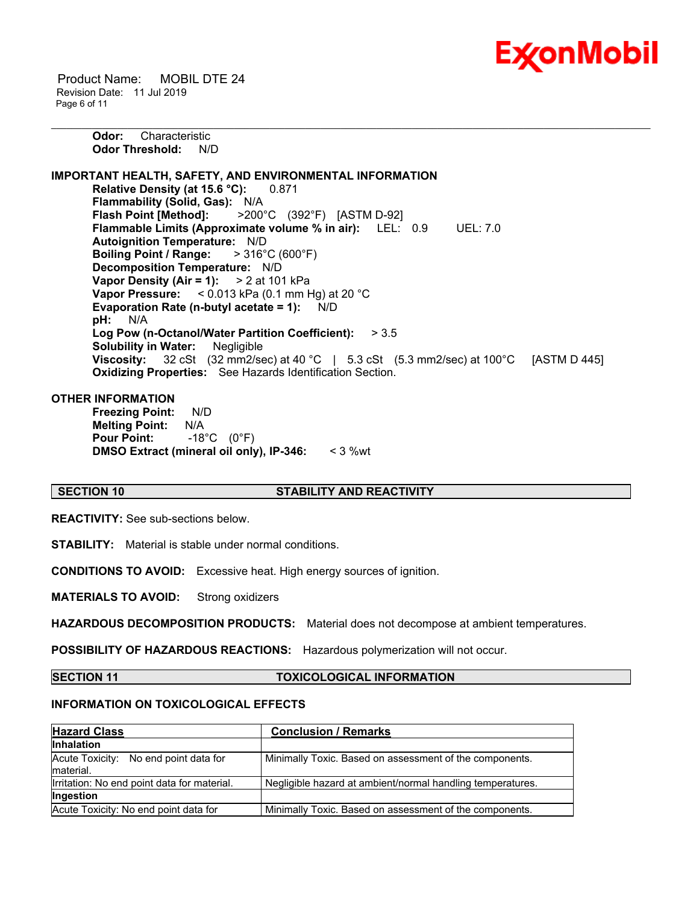

 Product Name: MOBIL DTE 24 Revision Date: 11 Jul 2019 Page 6 of 11

> **Odor:** Characteristic **Odor Threshold:** N/D

**IMPORTANT HEALTH, SAFETY, AND ENVIRONMENTAL INFORMATION Relative Density (at 15.6 °C):** 0.871 **Flammability (Solid, Gas):** N/A **Flash Point [Method]:** >200°C (392°F) [ASTM D-92] **Flammable Limits (Approximate volume % in air):** LEL: 0.9 UEL: 7.0 **Autoignition Temperature:** N/D **Boiling Point / Range:** > 316°C (600°F) **Decomposition Temperature:** N/D **Vapor Density (Air = 1):** > 2 at 101 kPa **Vapor Pressure:** < 0.013 kPa (0.1 mm Hg) at 20 °C **Evaporation Rate (n-butyl acetate = 1):** N/D **pH:** N/A **Log Pow (n-Octanol/Water Partition Coefficient):** > 3.5 **Solubility in Water:** Negligible **Viscosity:** 32 cSt (32 mm2/sec) at 40 °C | 5.3 cSt (5.3 mm2/sec) at 100 °C [ASTM D 445] **Oxidizing Properties:** See Hazards Identification Section.

\_\_\_\_\_\_\_\_\_\_\_\_\_\_\_\_\_\_\_\_\_\_\_\_\_\_\_\_\_\_\_\_\_\_\_\_\_\_\_\_\_\_\_\_\_\_\_\_\_\_\_\_\_\_\_\_\_\_\_\_\_\_\_\_\_\_\_\_\_\_\_\_\_\_\_\_\_\_\_\_\_\_\_\_\_\_\_\_\_\_\_\_\_\_\_\_\_\_\_\_\_\_\_\_\_\_\_\_\_\_\_\_\_\_\_\_\_\_

# **OTHER INFORMATION**

**Freezing Point:** N/D **Melting Point:** N/A **Pour Point:** -18°C (0°F) **DMSO Extract (mineral oil only), IP-346:** < 3 %wt

#### **SECTION 10 STABILITY AND REACTIVITY**

**REACTIVITY:** See sub-sections below.

**STABILITY:** Material is stable under normal conditions.

**CONDITIONS TO AVOID:** Excessive heat. High energy sources of ignition.

**MATERIALS TO AVOID:** Strong oxidizers

**HAZARDOUS DECOMPOSITION PRODUCTS:** Material does not decompose at ambient temperatures.

**POSSIBILITY OF HAZARDOUS REACTIONS:** Hazardous polymerization will not occur.

**SECTION 11 TOXICOLOGICAL INFORMATION**

# **INFORMATION ON TOXICOLOGICAL EFFECTS**

| <b>Hazard Class</b>                                 | <b>Conclusion / Remarks</b>                                |
|-----------------------------------------------------|------------------------------------------------------------|
| <b>Inhalation</b>                                   |                                                            |
| Acute Toxicity: No end point data for<br>Imaterial. | Minimally Toxic. Based on assessment of the components.    |
| Irritation: No end point data for material.         | Negligible hazard at ambient/normal handling temperatures. |
| <b>Ingestion</b>                                    |                                                            |
| Acute Toxicity: No end point data for               | Minimally Toxic. Based on assessment of the components.    |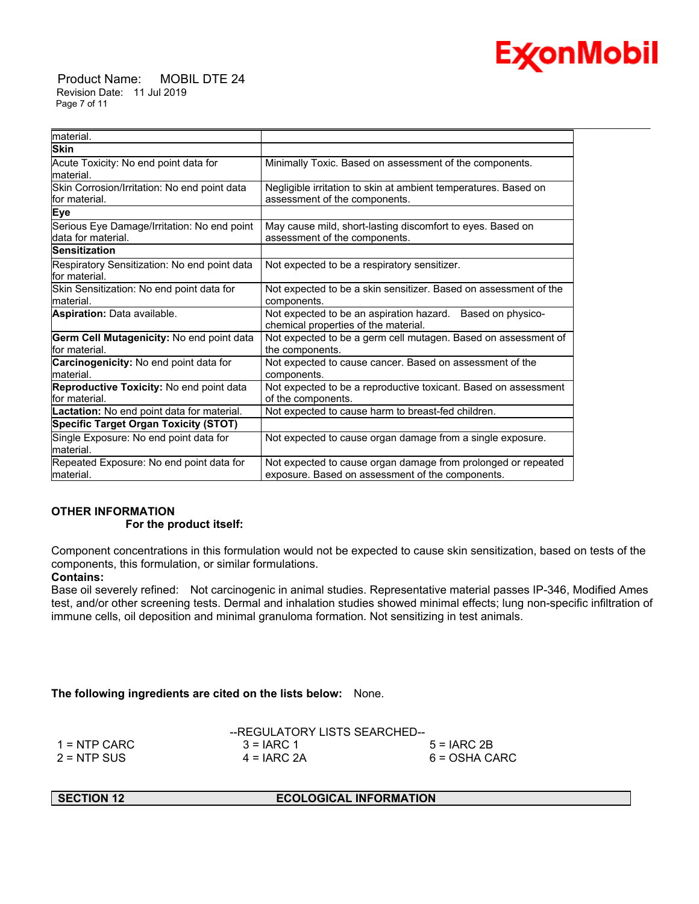

 Product Name: MOBIL DTE 24 Revision Date: 11 Jul 2019 Page 7 of 11

| material.                                                          |                                                                                                                   |
|--------------------------------------------------------------------|-------------------------------------------------------------------------------------------------------------------|
| <b>Skin</b>                                                        |                                                                                                                   |
| Acute Toxicity: No end point data for<br>material.                 | Minimally Toxic. Based on assessment of the components.                                                           |
| Skin Corrosion/Irritation: No end point data<br>lfor material.     | Negligible irritation to skin at ambient temperatures. Based on<br>assessment of the components.                  |
| Eye                                                                |                                                                                                                   |
| Serious Eye Damage/Irritation: No end point<br>ldata for material. | May cause mild, short-lasting discomfort to eyes. Based on<br>assessment of the components.                       |
| <b>Sensitization</b>                                               |                                                                                                                   |
| Respiratory Sensitization: No end point data<br>lfor material.     | Not expected to be a respiratory sensitizer.                                                                      |
| Skin Sensitization: No end point data for<br>lmaterial.            | Not expected to be a skin sensitizer. Based on assessment of the<br>components.                                   |
| <b>Aspiration: Data available.</b>                                 | Not expected to be an aspiration hazard. Based on physico-<br>chemical properties of the material.                |
| Germ Cell Mutagenicity: No end point data<br>for material.         | Not expected to be a germ cell mutagen. Based on assessment of<br>the components.                                 |
| Carcinogenicity: No end point data for<br>lmaterial.               | Not expected to cause cancer. Based on assessment of the<br>components.                                           |
| Reproductive Toxicity: No end point data<br>for material.          | Not expected to be a reproductive toxicant. Based on assessment<br>of the components.                             |
| <b>Lactation:</b> No end point data for material.                  | Not expected to cause harm to breast-fed children.                                                                |
| <b>Specific Target Organ Toxicity (STOT)</b>                       |                                                                                                                   |
| Single Exposure: No end point data for<br>material.                | Not expected to cause organ damage from a single exposure.                                                        |
| Repeated Exposure: No end point data for<br>material.              | Not expected to cause organ damage from prolonged or repeated<br>exposure. Based on assessment of the components. |

\_\_\_\_\_\_\_\_\_\_\_\_\_\_\_\_\_\_\_\_\_\_\_\_\_\_\_\_\_\_\_\_\_\_\_\_\_\_\_\_\_\_\_\_\_\_\_\_\_\_\_\_\_\_\_\_\_\_\_\_\_\_\_\_\_\_\_\_\_\_\_\_\_\_\_\_\_\_\_\_\_\_\_\_\_\_\_\_\_\_\_\_\_\_\_\_\_\_\_\_\_\_\_\_\_\_\_\_\_\_\_\_\_\_\_\_\_\_

# **OTHER INFORMATION**

# **For the product itself:**

Component concentrations in this formulation would not be expected to cause skin sensitization, based on tests of the components, this formulation, or similar formulations.

# **Contains:**

Base oil severely refined: Not carcinogenic in animal studies. Representative material passes IP-346, Modified Ames test, and/or other screening tests. Dermal and inhalation studies showed minimal effects; lung non-specific infiltration of immune cells, oil deposition and minimal granuloma formation. Not sensitizing in test animals.

**The following ingredients are cited on the lists below:** None.

|               | --REGULATORY LISTS SEARCHED-- |               |
|---------------|-------------------------------|---------------|
| 1 = NTP CARC  | $3 = IARC 1$                  | $5 = IARC2B$  |
| $2 = NTP$ SUS | $4 = IARC 2A$                 | 6 = OSHA CARC |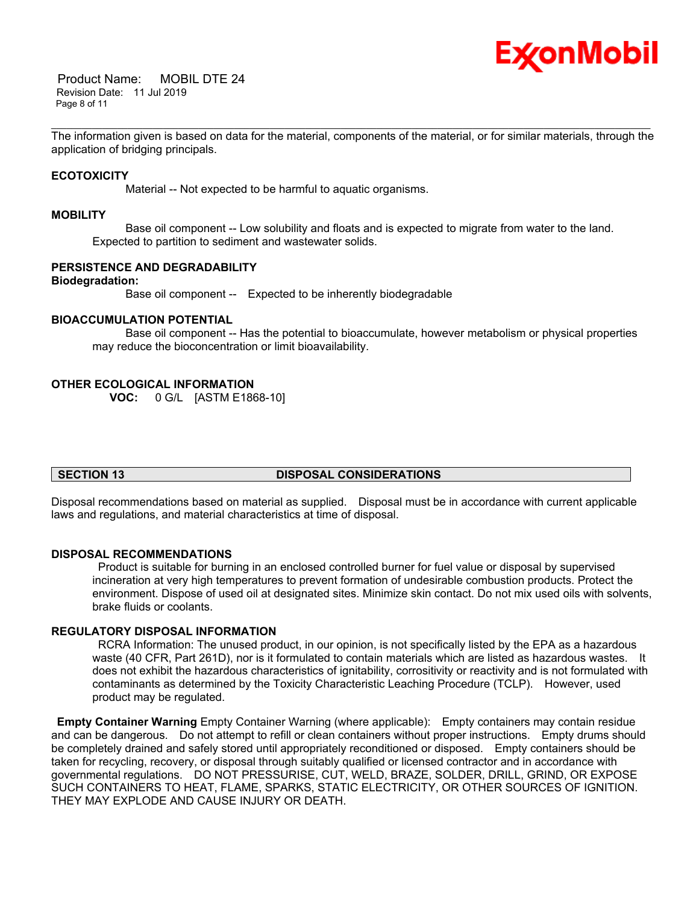

 Product Name: MOBIL DTE 24 Revision Date: 11 Jul 2019 Page 8 of 11

\_\_\_\_\_\_\_\_\_\_\_\_\_\_\_\_\_\_\_\_\_\_\_\_\_\_\_\_\_\_\_\_\_\_\_\_\_\_\_\_\_\_\_\_\_\_\_\_\_\_\_\_\_\_\_\_\_\_\_\_\_\_\_\_\_\_\_\_\_\_\_\_\_\_\_\_\_\_\_\_\_\_\_\_\_\_\_\_\_\_\_\_\_\_\_\_\_\_\_\_\_\_\_\_\_\_\_\_\_\_\_\_\_\_\_\_\_\_ The information given is based on data for the material, components of the material, or for similar materials, through the application of bridging principals.

# **ECOTOXICITY**

Material -- Not expected to be harmful to aquatic organisms.

#### **MOBILITY**

 Base oil component -- Low solubility and floats and is expected to migrate from water to the land. Expected to partition to sediment and wastewater solids.

#### **PERSISTENCE AND DEGRADABILITY**

#### **Biodegradation:**

Base oil component -- Expected to be inherently biodegradable

# **BIOACCUMULATION POTENTIAL**

 Base oil component -- Has the potential to bioaccumulate, however metabolism or physical properties may reduce the bioconcentration or limit bioavailability.

#### **OTHER ECOLOGICAL INFORMATION**

**VOC:** 0 G/L [ASTM E1868-10]

# **SECTION 13 DISPOSAL CONSIDERATIONS**

Disposal recommendations based on material as supplied. Disposal must be in accordance with current applicable laws and regulations, and material characteristics at time of disposal.

#### **DISPOSAL RECOMMENDATIONS**

 Product is suitable for burning in an enclosed controlled burner for fuel value or disposal by supervised incineration at very high temperatures to prevent formation of undesirable combustion products. Protect the environment. Dispose of used oil at designated sites. Minimize skin contact. Do not mix used oils with solvents, brake fluids or coolants.

# **REGULATORY DISPOSAL INFORMATION**

 RCRA Information: The unused product, in our opinion, is not specifically listed by the EPA as a hazardous waste (40 CFR, Part 261D), nor is it formulated to contain materials which are listed as hazardous wastes. It does not exhibit the hazardous characteristics of ignitability, corrositivity or reactivity and is not formulated with contaminants as determined by the Toxicity Characteristic Leaching Procedure (TCLP). However, used product may be regulated.

**Empty Container Warning** Empty Container Warning (where applicable): Empty containers may contain residue and can be dangerous. Do not attempt to refill or clean containers without proper instructions. Empty drums should be completely drained and safely stored until appropriately reconditioned or disposed. Empty containers should be taken for recycling, recovery, or disposal through suitably qualified or licensed contractor and in accordance with governmental regulations. DO NOT PRESSURISE, CUT, WELD, BRAZE, SOLDER, DRILL, GRIND, OR EXPOSE SUCH CONTAINERS TO HEAT, FLAME, SPARKS, STATIC ELECTRICITY, OR OTHER SOURCES OF IGNITION. THEY MAY EXPLODE AND CAUSE INJURY OR DEATH.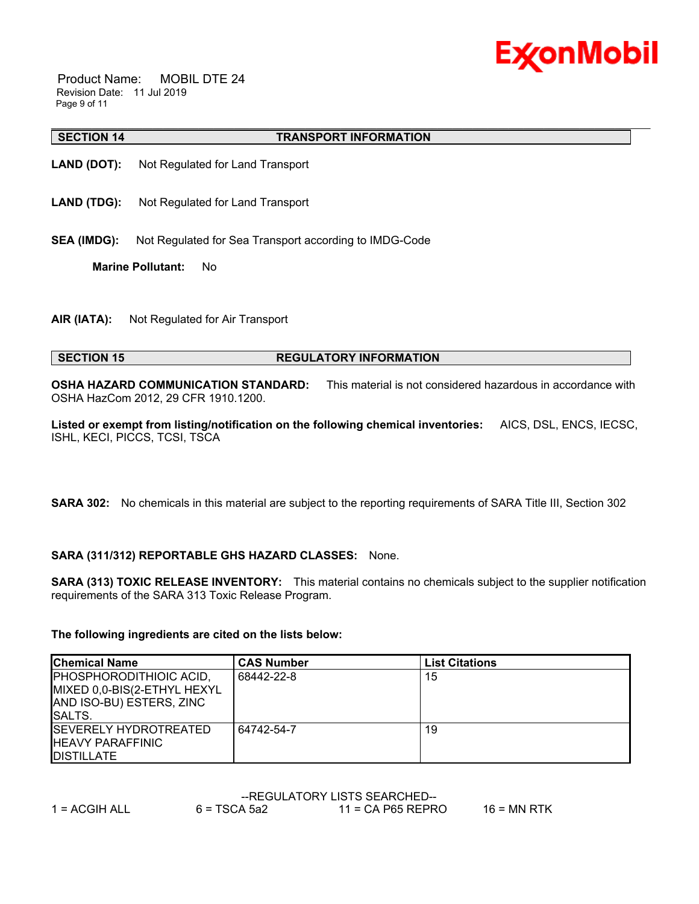

 Product Name: MOBIL DTE 24 Revision Date: 11 Jul 2019 Page 9 of 11

#### **SECTION 14 TRANSPORT INFORMATION**

- **LAND (DOT):** Not Regulated for Land Transport
- **LAND (TDG):** Not Regulated for Land Transport
- **SEA (IMDG):** Not Regulated for Sea Transport according to IMDG-Code

**Marine Pollutant:** No

**AIR (IATA):** Not Regulated for Air Transport

# **SECTION 15 REGULATORY INFORMATION**

**OSHA HAZARD COMMUNICATION STANDARD:** This material is not considered hazardous in accordance with OSHA HazCom 2012, 29 CFR 1910.1200.

\_\_\_\_\_\_\_\_\_\_\_\_\_\_\_\_\_\_\_\_\_\_\_\_\_\_\_\_\_\_\_\_\_\_\_\_\_\_\_\_\_\_\_\_\_\_\_\_\_\_\_\_\_\_\_\_\_\_\_\_\_\_\_\_\_\_\_\_\_\_\_\_\_\_\_\_\_\_\_\_\_\_\_\_\_\_\_\_\_\_\_\_\_\_\_\_\_\_\_\_\_\_\_\_\_\_\_\_\_\_\_\_\_\_\_\_\_\_

**Listed or exempt from listing/notification on the following chemical inventories:** AICS, DSL, ENCS, IECSC, ISHL, KECI, PICCS, TCSI, TSCA

**SARA 302:** No chemicals in this material are subject to the reporting requirements of SARA Title III, Section 302

# **SARA (311/312) REPORTABLE GHS HAZARD CLASSES:** None.

**SARA (313) TOXIC RELEASE INVENTORY:** This material contains no chemicals subject to the supplier notification requirements of the SARA 313 Toxic Release Program.

#### **The following ingredients are cited on the lists below:**

| <b>Chemical Name</b>                                                                                        | <b>CAS Number</b> | <b>List Citations</b> |
|-------------------------------------------------------------------------------------------------------------|-------------------|-----------------------|
| <b>PHOSPHORODITHIOIC ACID,</b><br>MIXED 0,0-BIS(2-ETHYL HEXYL<br>AND ISO-BU) ESTERS, ZINC<br><b>ISALTS.</b> | 68442-22-8        | 15                    |
| <b>ISEVERELY HYDROTREATED</b><br><b>IHEAVY PARAFFINIC</b><br><b>IDISTILLATE</b>                             | 64742-54-7        | 19                    |

|               | --REGULATORY LISTS SEARCHED-- |                     |             |  |  |
|---------------|-------------------------------|---------------------|-------------|--|--|
| 1 = ACGIH ALL | $6 = TSCA 5a2$                | $11$ = CA P65 REPRO | 16 = MN RTK |  |  |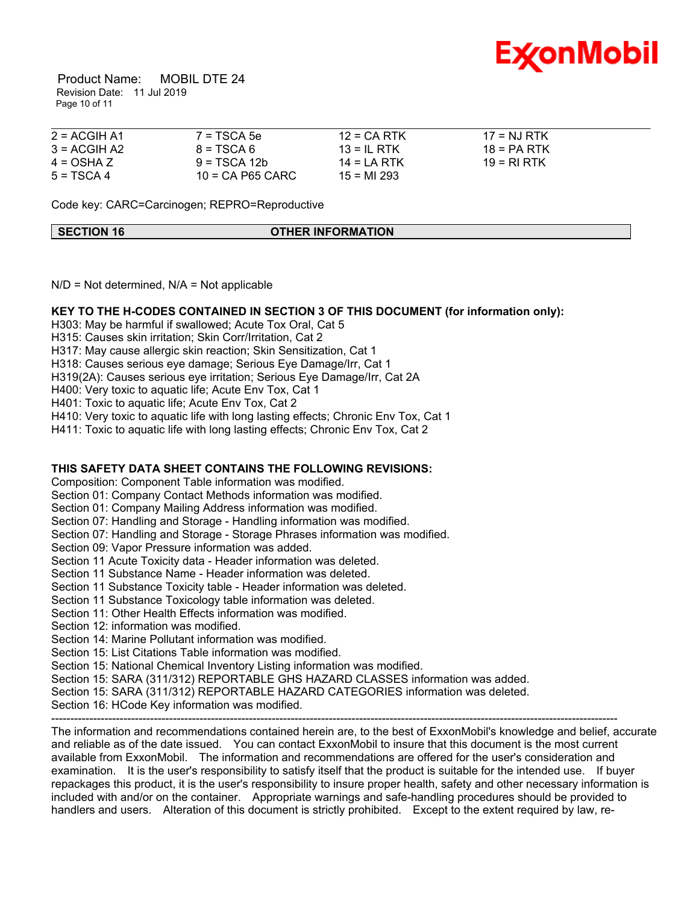

 Product Name: MOBIL DTE 24 Revision Date: 11 Jul 2019 Page 10 of 11

| $2 = ACGIH A1$ | $7 = TSCA 5e$      | $12 = CA$ RTK  | $17 = N1 RTK$ |  |
|----------------|--------------------|----------------|---------------|--|
| $3 = ACGIH A2$ | $8 = TSCA6$        | $13 = IL$ RTK  | $18 = PA RTK$ |  |
| $4 = OSHA Z$   | $9 = TSCA 12b$     | $14 = I A RTK$ | $19 = RIRTK$  |  |
| $5 = TSCA 4$   | $10 = CA$ P65 CARC | $15 = M1293$   |               |  |

Code key: CARC=Carcinogen; REPRO=Reproductive

**SECTION 16 OTHER INFORMATION**

 $N/D$  = Not determined,  $N/A$  = Not applicable

#### **KEY TO THE H-CODES CONTAINED IN SECTION 3 OF THIS DOCUMENT (for information only):**

H303: May be harmful if swallowed; Acute Tox Oral, Cat 5

H315: Causes skin irritation; Skin Corr/Irritation, Cat 2

H317: May cause allergic skin reaction; Skin Sensitization, Cat 1

H318: Causes serious eye damage; Serious Eye Damage/Irr, Cat 1

H319(2A): Causes serious eye irritation; Serious Eye Damage/Irr, Cat 2A

H400: Very toxic to aquatic life; Acute Env Tox, Cat 1

H401: Toxic to aquatic life; Acute Env Tox, Cat 2

H410: Very toxic to aquatic life with long lasting effects; Chronic Env Tox, Cat 1

H411: Toxic to aquatic life with long lasting effects; Chronic Env Tox, Cat 2

# **THIS SAFETY DATA SHEET CONTAINS THE FOLLOWING REVISIONS:**

Composition: Component Table information was modified.

Section 01: Company Contact Methods information was modified.

Section 01: Company Mailing Address information was modified.

Section 07: Handling and Storage - Handling information was modified.

Section 07: Handling and Storage - Storage Phrases information was modified.

Section 09: Vapor Pressure information was added.

Section 11 Acute Toxicity data - Header information was deleted.

Section 11 Substance Name - Header information was deleted.

Section 11 Substance Toxicity table - Header information was deleted.

Section 11 Substance Toxicology table information was deleted.

Section 11: Other Health Effects information was modified.

Section 12: information was modified.

Section 14: Marine Pollutant information was modified.

Section 15: List Citations Table information was modified.

Section 15: National Chemical Inventory Listing information was modified.

Section 15: SARA (311/312) REPORTABLE GHS HAZARD CLASSES information was added.

Section 15: SARA (311/312) REPORTABLE HAZARD CATEGORIES information was deleted.

Section 16: HCode Key information was modified.

----------------------------------------------------------------------------------------------------------------------------------------------------- The information and recommendations contained herein are, to the best of ExxonMobil's knowledge and belief, accurate and reliable as of the date issued. You can contact ExxonMobil to insure that this document is the most current available from ExxonMobil. The information and recommendations are offered for the user's consideration and examination. It is the user's responsibility to satisfy itself that the product is suitable for the intended use. If buyer repackages this product, it is the user's responsibility to insure proper health, safety and other necessary information is included with and/or on the container. Appropriate warnings and safe-handling procedures should be provided to handlers and users. Alteration of this document is strictly prohibited. Except to the extent required by law, re-